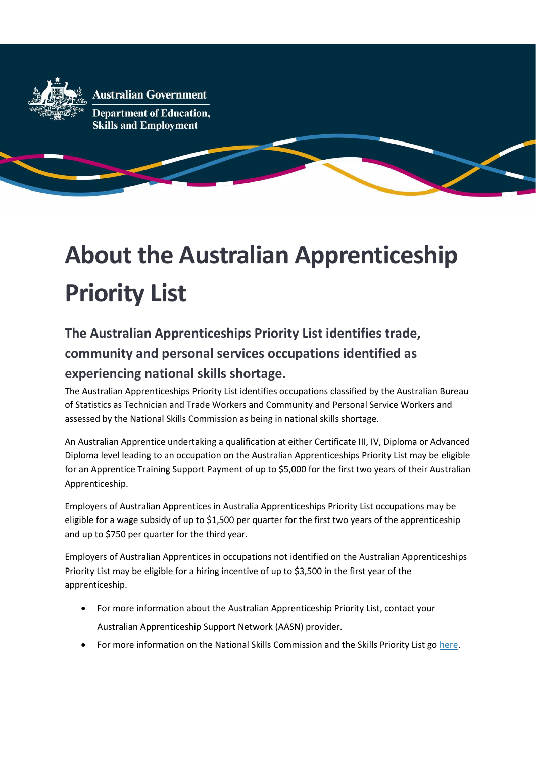

# About the Australian Apprenticeship Priority List

## The Australian Apprenticeships Priority List identifies trade, community and personal services occupations identified as experiencing national skills shortage.

The Australian Apprenticeships Priority List identifies occupations classified by the Australian Bureau of Statistics as Technician and Trade Workers and Community and Personal Service Workers and assessed by the National Skills Commission as being in national skills shortage.

An Australian Apprentice undertaking a qualification at either Certificate III, IV, Diploma or Advanced Diploma level leading to an occupation on the Australian Apprenticeships Priority List may be eligible for an Apprentice Training Support Payment of up to \$5,000 for the first two years of their Australian Apprenticeship.

Employers of Australian Apprentices in Australia Apprenticeships Priority List occupations may be eligible for a wage subsidy of up to \$1,500 per quarter for the first two years of the apprenticeship and up to \$750 per quarter for the third year.

Employers of Australian Apprentices in occupations not identified on the Australian Apprenticeships Priority List may be eligible for a hiring incentive of up to \$3,500 in the first year of the apprenticeship.

- For more information about the Australian Apprenticeship Priority List, contact your Australian Apprenticeship Support Network (AASN) provider.
- For more information on the National Skills Commission and the Skills Priority List go here.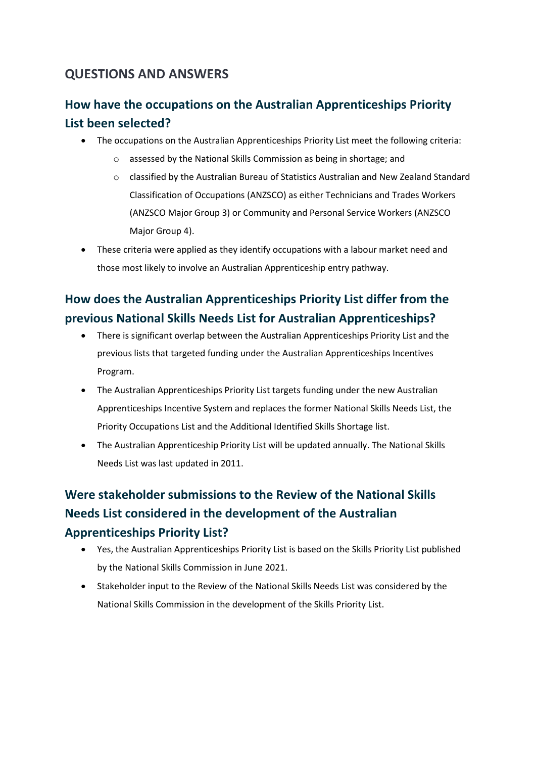#### QUESTIONS AND ANSWERS

#### How have the occupations on the Australian Apprenticeships Priority List been selected?

- The occupations on the Australian Apprenticeships Priority List meet the following criteria:
	- o assessed by the National Skills Commission as being in shortage; and
	- o classified by the Australian Bureau of Statistics Australian and New Zealand Standard Classification of Occupations (ANZSCO) as either Technicians and Trades Workers (ANZSCO Major Group 3) or Community and Personal Service Workers (ANZSCO Major Group 4).
- These criteria were applied as they identify occupations with a labour market need and those most likely to involve an Australian Apprenticeship entry pathway.

#### How does the Australian Apprenticeships Priority List differ from the previous National Skills Needs List for Australian Apprenticeships?

- There is significant overlap between the Australian Apprenticeships Priority List and the previous lists that targeted funding under the Australian Apprenticeships Incentives Program.
- The Australian Apprenticeships Priority List targets funding under the new Australian Apprenticeships Incentive System and replaces the former National Skills Needs List, the Priority Occupations List and the Additional Identified Skills Shortage list.
- The Australian Apprenticeship Priority List will be updated annually. The National Skills Needs List was last updated in 2011.

## Were stakeholder submissions to the Review of the National Skills Needs List considered in the development of the Australian Apprenticeships Priority List?

- Yes, the Australian Apprenticeships Priority List is based on the Skills Priority List published by the National Skills Commission in June 2021.
- Stakeholder input to the Review of the National Skills Needs List was considered by the National Skills Commission in the development of the Skills Priority List.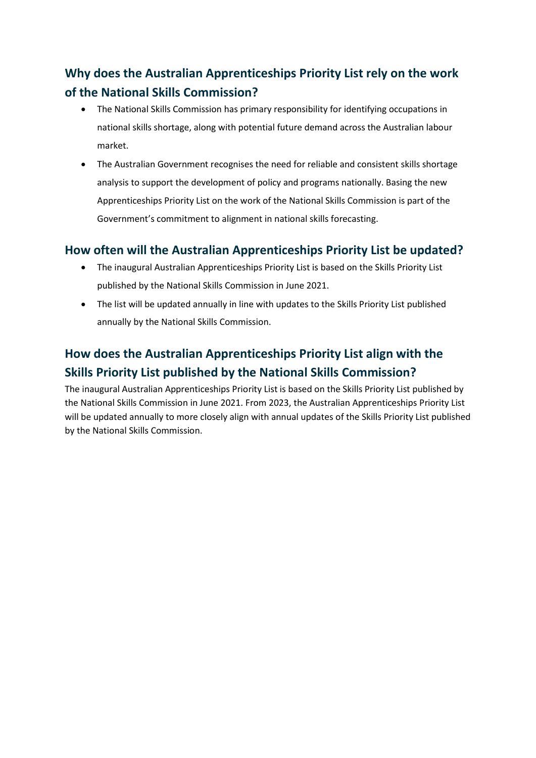## Why does the Australian Apprenticeships Priority List rely on the work of the National Skills Commission?

- The National Skills Commission has primary responsibility for identifying occupations in national skills shortage, along with potential future demand across the Australian labour market.
- The Australian Government recognises the need for reliable and consistent skills shortage analysis to support the development of policy and programs nationally. Basing the new Apprenticeships Priority List on the work of the National Skills Commission is part of the Government's commitment to alignment in national skills forecasting.

#### How often will the Australian Apprenticeships Priority List be updated?

- The inaugural Australian Apprenticeships Priority List is based on the Skills Priority List published by the National Skills Commission in June 2021.
- The list will be updated annually in line with updates to the Skills Priority List published annually by the National Skills Commission.

### How does the Australian Apprenticeships Priority List align with the Skills Priority List published by the National Skills Commission?

The inaugural Australian Apprenticeships Priority List is based on the Skills Priority List published by the National Skills Commission in June 2021. From 2023, the Australian Apprenticeships Priority List will be updated annually to more closely align with annual updates of the Skills Priority List published by the National Skills Commission.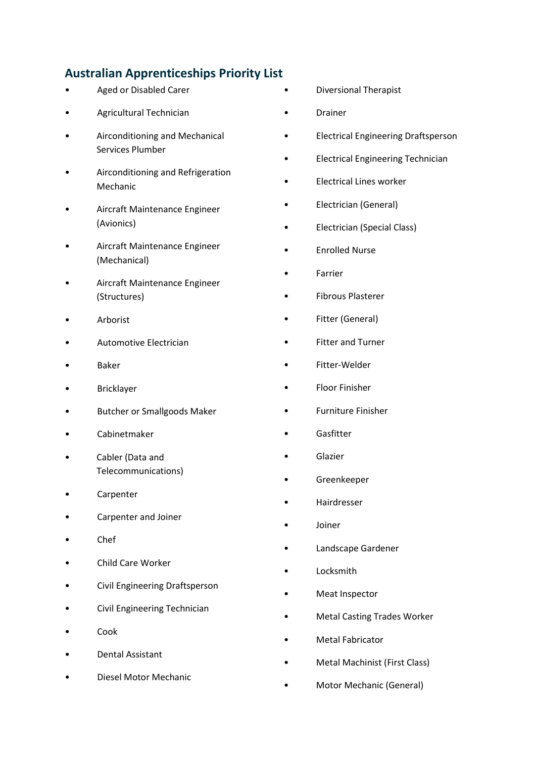#### Australian Apprenticeships Priority List

- Aged or Disabled Carer
- Agricultural Technician
- Airconditioning and Mechanical Services Plumber
- Airconditioning and Refrigeration Mechanic
- Aircraft Maintenance Engineer (Avionics)
- Aircraft Maintenance Engineer (Mechanical)
- Aircraft Maintenance Engineer (Structures)
- **Arborist**
- Automotive Electrician
- Baker
- Bricklayer
- Butcher or Smallgoods Maker
- Cabinetmaker
- Cabler (Data and Telecommunications)
- **Carpenter**
- Carpenter and Joiner
- Chef
- Child Care Worker
- Civil Engineering Draftsperson
- Civil Engineering Technician
- Cook
- Dental Assistant
- Diesel Motor Mechanic
- Diversional Therapist
- Drainer
- Electrical Engineering Draftsperson
- Electrical Engineering Technician
- Electrical Lines worker
- Electrician (General)
- Electrician (Special Class)
- Enrolled Nurse
- **Farrier**
- Fibrous Plasterer
- Fitter (General)
- Fitter and Turner
- Fitter-Welder
- Floor Finisher
- Furniture Finisher
- **Gasfitter**
- **Glazier**
- Greenkeeper
- Hairdresser
- Joiner
- Landscape Gardener
- **Locksmith**
- Meat Inspector
- Metal Casting Trades Worker
- Metal Fabricator
- Metal Machinist (First Class)
- Motor Mechanic (General)